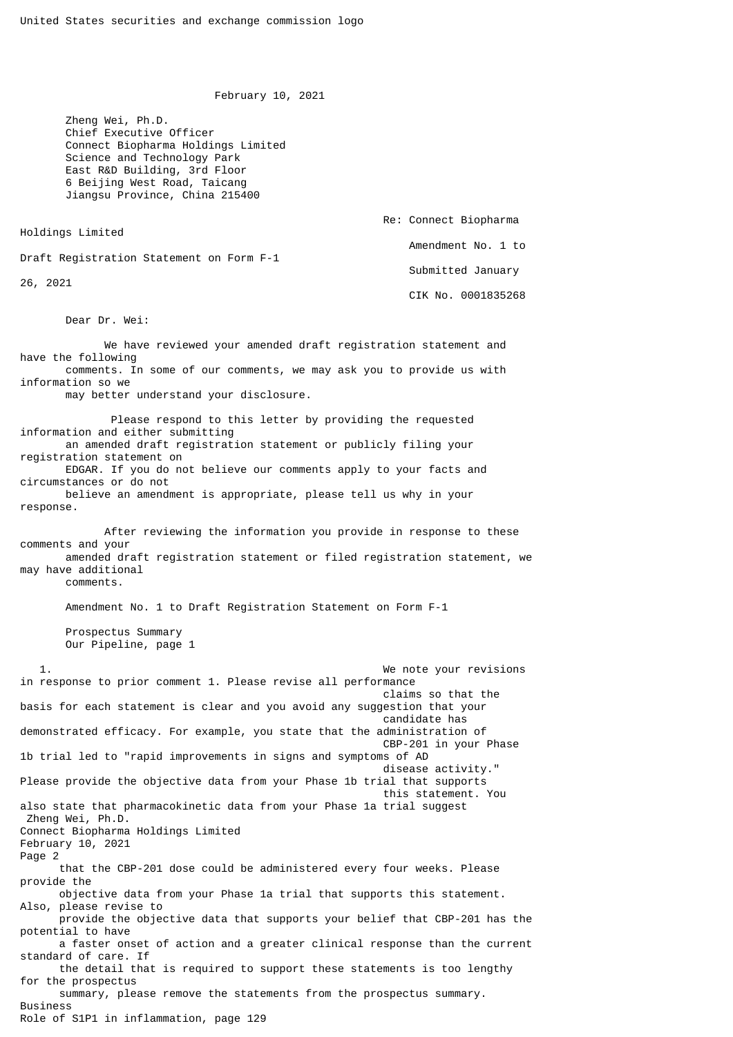February 10, 2021

 Zheng Wei, Ph.D. Chief Executive Officer Connect Biopharma Holdings Limited Science and Technology Park East R&D Building, 3rd Floor 6 Beijing West Road, Taicang Jiangsu Province, China 215400

 Re: Connect Biopharma Holdings Limited Amendment No. 1 to Draft Registration Statement on Form F-1 Submitted January 26, 2021 CIK No. 0001835268

Dear Dr. Wei:

 We have reviewed your amended draft registration statement and have the following comments. In some of our comments, we may ask you to provide us with information so we may better understand your disclosure. Please respond to this letter by providing the requested information and either submitting an amended draft registration statement or publicly filing your registration statement on EDGAR. If you do not believe our comments apply to your facts and circumstances or do not believe an amendment is appropriate, please tell us why in your response. After reviewing the information you provide in response to these comments and your amended draft registration statement or filed registration statement, we may have additional comments. Amendment No. 1 to Draft Registration Statement on Form F-1 Prospectus Summary Our Pipeline, page 1 1. We note your revisions in response to prior comment 1. Please revise all performance claims so that the basis for each statement is clear and you avoid any suggestion that your candidate has demonstrated efficacy. For example, you state that the administration of CBP-201 in your Phase 1b trial led to "rapid improvements in signs and symptoms of AD disease activity." Please provide the objective data from your Phase 1b trial that supports this statement. You also state that pharmacokinetic data from your Phase 1a trial suggest Zheng Wei, Ph.D. Connect Biopharma Holdings Limited February 10, 2021 Page 2 that the CBP-201 dose could be administered every four weeks. Please provide the objective data from your Phase 1a trial that supports this statement. Also, please revise to provide the objective data that supports your belief that CBP-201 has the potential to have a faster onset of action and a greater clinical response than the current standard of care. If the detail that is required to support these statements is too lengthy for the prospectus summary, please remove the statements from the prospectus summary. Business Role of S1P1 in inflammation, page 129